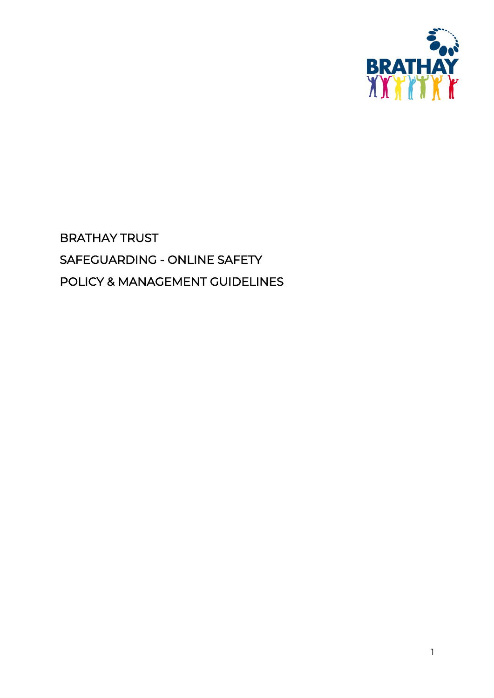

# BRATHAY TRUST SAFEGUARDING - ONLINE SAFETY POLICY & MANAGEMENT GUIDELINES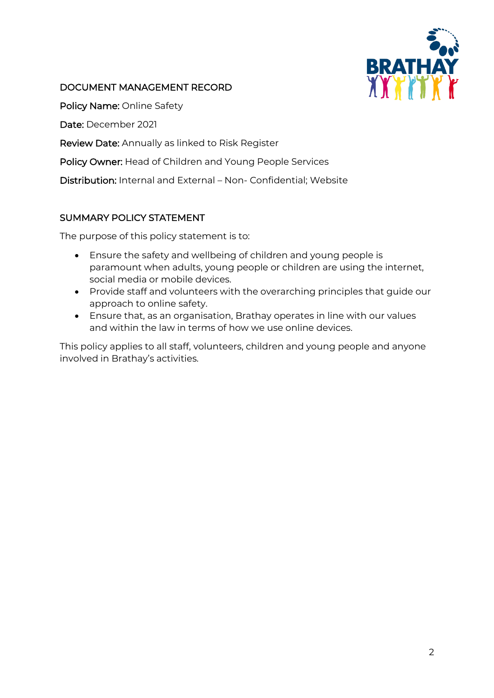

## DOCUMENT MANAGEMENT RECORD

Policy Name: Online Safety

Date: December 2021

Review Date: Annually as linked to Risk Register

Policy Owner: Head of Children and Young People Services

Distribution: Internal and External – Non- Confidential; Website

## SUMMARY POLICY STATEMENT

The purpose of this policy statement is to:

- Ensure the safety and wellbeing of children and young people is paramount when adults, young people or children are using the internet, social media or mobile devices.
- Provide staff and volunteers with the overarching principles that guide our approach to online safety.
- Ensure that, as an organisation, Brathay operates in line with our values and within the law in terms of how we use online devices.

This policy applies to all staff, volunteers, children and young people and anyone involved in Brathay's activities.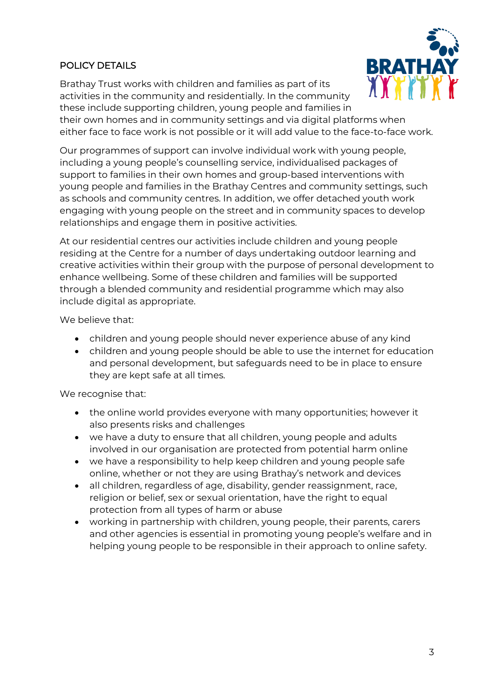## POLICY DETAILS

Brathay Trust works with children and families as part of its activities in the community and residentially. In the community these include supporting children, young people and families in



their own homes and in community settings and via digital platforms when either face to face work is not possible or it will add value to the face-to-face work.

Our programmes of support can involve individual work with young people, including a young people's counselling service, individualised packages of support to families in their own homes and group-based interventions with young people and families in the Brathay Centres and community settings, such as schools and community centres. In addition, we offer detached youth work engaging with young people on the street and in community spaces to develop relationships and engage them in positive activities.

At our residential centres our activities include children and young people residing at the Centre for a number of days undertaking outdoor learning and creative activities within their group with the purpose of personal development to enhance wellbeing. Some of these children and families will be supported through a blended community and residential programme which may also include digital as appropriate.

We believe that:

- children and young people should never experience abuse of any kind
- children and young people should be able to use the internet for education and personal development, but safeguards need to be in place to ensure they are kept safe at all times.

We recognise that:

- the online world provides everyone with many opportunities; however it also presents risks and challenges
- we have a duty to ensure that all children, young people and adults involved in our organisation are protected from potential harm online
- we have a responsibility to help keep children and young people safe online, whether or not they are using Brathay's network and devices
- all children, regardless of age, disability, gender reassignment, race, religion or belief, sex or sexual orientation, have the right to equal protection from all types of harm or abuse
- working in partnership with children, young people, their parents, carers and other agencies is essential in promoting young people's welfare and in helping young people to be responsible in their approach to online safety.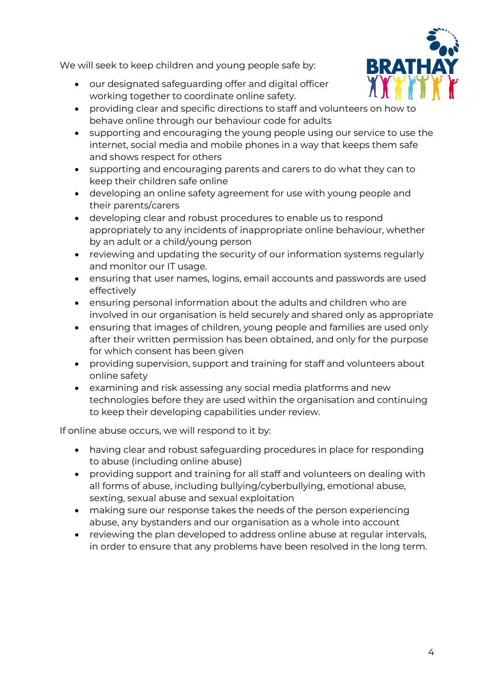We will seek to keep children and young people safe by:

- our designated safeguarding offer and digital officer working together to coordinate online safety.
- **BRATH**
- providing clear and specific directions to staff and volunteers on how to behave online through our behaviour code for adults
- supporting and encouraging the young people using our service to use the internet, social media and mobile phones in a way that keeps them safe and shows respect for others
- supporting and encouraging parents and carers to do what they can to keep their children safe online
- developing an online safety agreement for use with young people and their parents/carers
- developing clear and robust procedures to enable us to respond appropriately to any incidents of inappropriate online behaviour, whether by an adult or a child/young person
- reviewing and updating the security of our information systems regularly and monitor our IT usage.
- ensuring that user names, logins, email accounts and passwords are used effectively
- ensuring personal information about the adults and children who are involved in our organisation is held securely and shared only as appropriate
- ensuring that images of children, young people and families are used only after their written permission has been obtained, and only for the purpose for which consent has been given
- providing supervision, support and training for staff and volunteers about online safety
- examining and risk assessing any social media platforms and new technologies before they are used within the organisation and continuing to keep their developing capabilities under review.

If online abuse occurs, we will respond to it by:

- having clear and robust safeguarding procedures in place for responding to abuse (including online abuse)
- providing support and training for all staff and volunteers on dealing with all forms of abuse, including bullying/cyberbullying, emotional abuse, sexting, sexual abuse and sexual exploitation
- making sure our response takes the needs of the person experiencing abuse, any bystanders and our organisation as a whole into account
- reviewing the plan developed to address online abuse at regular intervals, in order to ensure that any problems have been resolved in the long term.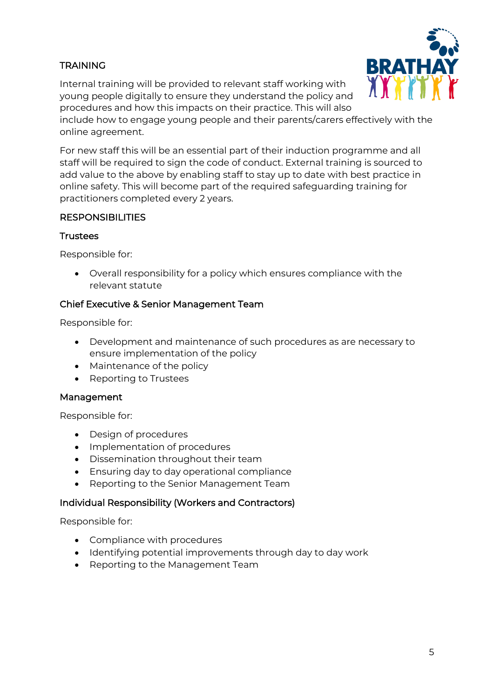# TRAINING

Internal training will be provided to relevant staff working with young people digitally to ensure they understand the policy and procedures and how this impacts on their practice. This will also



include how to engage young people and their parents/carers effectively with the online agreement.

For new staff this will be an essential part of their induction programme and all staff will be required to sign the code of conduct. External training is sourced to add value to the above by enabling staff to stay up to date with best practice in online safety. This will become part of the required safeguarding training for practitioners completed every 2 years.

## **RESPONSIBILITIES**

#### **Trustees**

Responsible for:

• Overall responsibility for a policy which ensures compliance with the relevant statute

## Chief Executive & Senior Management Team

Responsible for:

- Development and maintenance of such procedures as are necessary to ensure implementation of the policy
- Maintenance of the policy
- Reporting to Trustees

#### Management

Responsible for:

- Design of procedures
- Implementation of procedures
- Dissemination throughout their team
- Ensuring day to day operational compliance
- Reporting to the Senior Management Team

#### Individual Responsibility (Workers and Contractors)

Responsible for:

- Compliance with procedures
- Identifying potential improvements through day to day work
- Reporting to the Management Team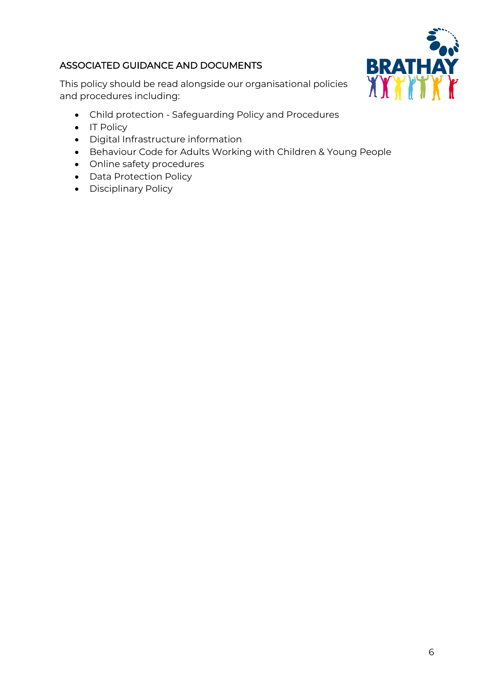# ASSOCIATED GUIDANCE AND DOCUMENTS

BRATHAY

This policy should be read alongside our organisational policies and procedures including:

- Child protection Safeguarding Policy and Procedures
- IT Policy
- Digital Infrastructure information
- Behaviour Code for Adults Working with Children & Young People
- Online safety procedures
- Data Protection Policy
- Disciplinary Policy